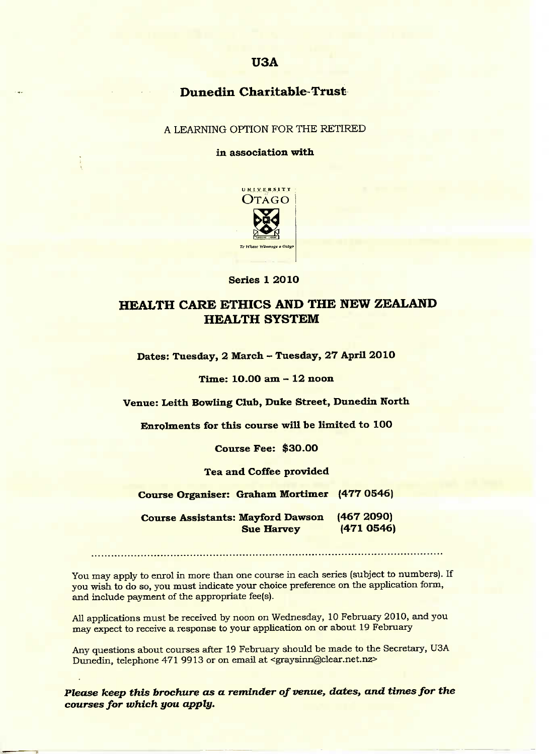## **USA**

## **Dunedin Charitable-Trust-**

A LEARNING OPTION FOR THE RETIRED

**in association with**



**Series 1 2010**

# **HEALTH CARE ETHICS AND THE NEW ZEALAND HEALTH SYSTEM**

**Dates: Tuesday, 2 March - Tuesday, 27 April 2010**

**Time: 1O.OO am - 12 noon**

**Venue: Leith Bowling Club, Duke Street, Dunedin North**

**Enrolments for this course will he limited to 100**

**Course Fee: \$30.00**

#### **Tea and Coffee provided**

**Course Organiser: Graham Mortimer (477 0546)**

**Course Assistants: Mayford Dawson (467 2O90) Sue Harvey (471 0546)**

You may apply to enrol in more than one course in each series (subject to numbers). If you wish to do so, you must indicate your choice preference on the application form, and include payment of the appropriate fee(s).

All applications must be received by noon on Wednesday, 10 February 2010, and you may expect to receive a response to your application on or about 19 February

Any questions about courses after 19 February should be made to the Secretary, USA Dunedin, telephone 471 9913 or on email at <graysinn@clear.net.nz>

*Please keep this brochure as a reminder of venue, dates, and times for the courses for which you apply.*